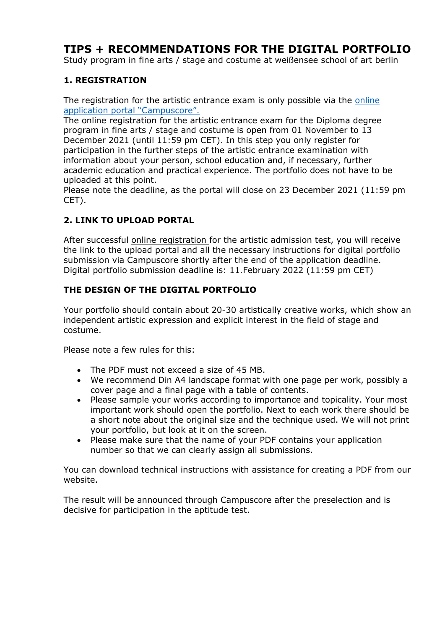# **TIPS + RECOMMENDATIONS FOR THE DIGITAL PORTFOLIO**

Study program in fine arts / stage and costume at weißensee school of art berlin

### **1. REGISTRATION**

The registration for the artistic entrance exam is only possible via the [online](https://cms.kh-berlin.de/login/#/)  [application portal](https://cms.kh-berlin.de/login/#/) "Campuscore".

The online registration for the artistic entrance exam for the Diploma degree program in fine arts / stage and costume is open from 01 November to 13 December 2021 (until 11:59 pm CET). In this step you only register for participation in the further steps of the artistic entrance examination with information about your person, school education and, if necessary, further academic education and practical experience. The portfolio does not have to be uploaded at this point.

Please note the deadline, as the portal will close on 23 December 2021 (11:59 pm CET).

## **2. LINK TO UPLOAD PORTAL**

After successful [online registration f](https://www.kh-berlin.de/en/studies/applying-for-studies/ba-design-and-fine-art-programs.html)or the artistic admission test, you will receive the link to the upload portal and all the necessary instructions for digital portfolio submission via Campuscore shortly after the end of the application deadline. Digital portfolio submission deadline is: 11.February 2022 (11:59 pm CET)

## **THE DESIGN OF THE DIGITAL PORTFOLIO**

Your portfolio should contain about 20-30 artistically creative works, which show an independent artistic expression and explicit interest in the field of stage and costume.

Please note a few rules for this:

- The PDF must not exceed a size of 45 MB.
- We recommend Din A4 landscape format with one page per work, possibly a cover page and a final page with a table of contents.
- Please sample your works according to importance and topicality. Your most important work should open the portfolio. Next to each work there should be a short note about the original size and the technique used. We will not print your portfolio, but look at it on the screen.
- Please make sure that the name of your PDF contains your application number so that we can clearly assign all submissions.

You can download technical instructions with assistance for creating a PDF from our website.

The result will be announced through Campuscore after the preselection and is decisive for participation in the aptitude test.